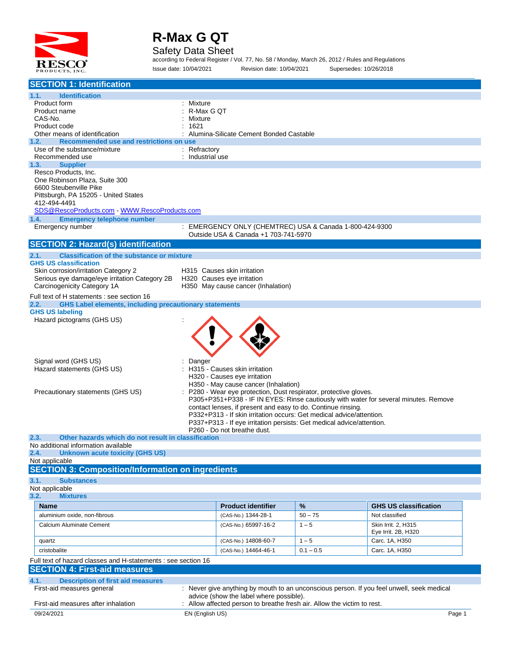

Safety Data Sheet

according to Federal Register / Vol. 77, No. 58 / Monday, March 26, 2012 / Rules and Regulations Issue date: 10/04/2021 Revision date: 10/04/2021 Supersedes: 10/26/2018

| <b>SECTION 1: Identification</b>                                                |                  |                                                                       |             |                                                                                           |
|---------------------------------------------------------------------------------|------------------|-----------------------------------------------------------------------|-------------|-------------------------------------------------------------------------------------------|
| 1.1.<br><b>Identification</b>                                                   |                  |                                                                       |             |                                                                                           |
| Product form                                                                    | : Mixture        |                                                                       |             |                                                                                           |
| Product name                                                                    | R-Max G QT       |                                                                       |             |                                                                                           |
| CAS-No.                                                                         | Mixture          |                                                                       |             |                                                                                           |
| Product code                                                                    | 1621             |                                                                       |             |                                                                                           |
| Other means of identification                                                   |                  | Alumina-Silicate Cement Bonded Castable                               |             |                                                                                           |
| 1.2.<br>Recommended use and restrictions on use<br>Use of the substance/mixture | : Refractory     |                                                                       |             |                                                                                           |
| Recommended use                                                                 | : Industrial use |                                                                       |             |                                                                                           |
| 1.3.<br><b>Supplier</b>                                                         |                  |                                                                       |             |                                                                                           |
| Resco Products, Inc.                                                            |                  |                                                                       |             |                                                                                           |
| One Robinson Plaza, Suite 300                                                   |                  |                                                                       |             |                                                                                           |
| 6600 Steubenville Pike                                                          |                  |                                                                       |             |                                                                                           |
| Pittsburgh, PA 15205 - United States                                            |                  |                                                                       |             |                                                                                           |
| 412-494-4491<br>SDS@RescoProducts.com WWW.RescoProducts.com                     |                  |                                                                       |             |                                                                                           |
| 1.4.<br><b>Emergency telephone number</b>                                       |                  |                                                                       |             |                                                                                           |
| Emergency number                                                                |                  | : EMERGENCY ONLY (CHEMTREC) USA & Canada 1-800-424-9300               |             |                                                                                           |
|                                                                                 |                  | Outside USA & Canada +1 703-741-5970                                  |             |                                                                                           |
| <b>SECTION 2: Hazard(s) identification</b>                                      |                  |                                                                       |             |                                                                                           |
| 2.1.<br><b>Classification of the substance or mixture</b>                       |                  |                                                                       |             |                                                                                           |
| <b>GHS US classification</b>                                                    |                  |                                                                       |             |                                                                                           |
| Skin corrosion/irritation Category 2                                            |                  | H315 Causes skin irritation                                           |             |                                                                                           |
| Serious eye damage/eye irritation Category 2B                                   |                  | H320 Causes eye irritation                                            |             |                                                                                           |
| Carcinogenicity Category 1A                                                     |                  | H350 May cause cancer (Inhalation)                                    |             |                                                                                           |
| Full text of H statements : see section 16                                      |                  |                                                                       |             |                                                                                           |
| <b>GHS Label elements, including precautionary statements</b><br>2.2.           |                  |                                                                       |             |                                                                                           |
| <b>GHS US labeling</b><br>Hazard pictograms (GHS US)                            |                  |                                                                       |             |                                                                                           |
|                                                                                 |                  |                                                                       |             |                                                                                           |
|                                                                                 |                  |                                                                       |             |                                                                                           |
|                                                                                 |                  |                                                                       |             |                                                                                           |
|                                                                                 |                  |                                                                       |             |                                                                                           |
| Signal word (GHS US)                                                            | Danger           |                                                                       |             |                                                                                           |
| Hazard statements (GHS US)                                                      |                  | H315 - Causes skin irritation                                         |             |                                                                                           |
|                                                                                 |                  | H320 - Causes eye irritation                                          |             |                                                                                           |
|                                                                                 |                  | H350 - May cause cancer (Inhalation)                                  |             |                                                                                           |
| Precautionary statements (GHS US)                                               |                  | P280 - Wear eye protection, Dust respirator, protective gloves.       |             |                                                                                           |
|                                                                                 |                  | contact lenses, if present and easy to do. Continue rinsing.          |             | P305+P351+P338 - IF IN EYES: Rinse cautiously with water for several minutes. Remove      |
|                                                                                 |                  | P332+P313 - If skin irritation occurs: Get medical advice/attention.  |             |                                                                                           |
|                                                                                 |                  | P337+P313 - If eye irritation persists: Get medical advice/attention. |             |                                                                                           |
|                                                                                 |                  | P260 - Do not breathe dust.                                           |             |                                                                                           |
| 2.3.<br>Other hazards which do not result in classification                     |                  |                                                                       |             |                                                                                           |
| No additional information available                                             |                  |                                                                       |             |                                                                                           |
| <b>Unknown acute toxicity (GHS US)</b><br>2.4.<br>Not applicable                |                  |                                                                       |             |                                                                                           |
| <b>SECTION 3: Composition/Information on ingredients</b>                        |                  |                                                                       |             |                                                                                           |
| 3.1.<br><b>Substances</b>                                                       |                  |                                                                       |             |                                                                                           |
| Not applicable                                                                  |                  |                                                                       |             |                                                                                           |
| 3.2.<br><b>Mixtures</b>                                                         |                  |                                                                       |             |                                                                                           |
| <b>Name</b>                                                                     |                  | <b>Product identifier</b>                                             | %           | <b>GHS US classification</b>                                                              |
| aluminium oxide, non-fibrous                                                    |                  | (CAS-No.) 1344-28-1                                                   | $50 - 75$   | Not classified                                                                            |
| Calcium Aluminate Cement                                                        |                  | (CAS-No.) 65997-16-2                                                  | $1 - 5$     | Skin Irrit. 2. H315                                                                       |
|                                                                                 |                  |                                                                       |             | Eye Irrit. 2B, H320                                                                       |
| quartz                                                                          |                  | (CAS-No.) 14808-60-7                                                  | $1 - 5$     | Carc. 1A, H350                                                                            |
| cristobalite                                                                    |                  | (CAS-No.) 14464-46-1                                                  | $0.1 - 0.5$ | Carc. 1A, H350                                                                            |
| Full text of hazard classes and H-statements : see section 16                   |                  |                                                                       |             |                                                                                           |
| <b>SECTION 4: First-aid measures</b>                                            |                  |                                                                       |             |                                                                                           |
| 4.1.<br><b>Description of first aid measures</b>                                |                  |                                                                       |             |                                                                                           |
| First-aid measures general                                                      |                  |                                                                       |             | : Never give anything by mouth to an unconscious person. If you feel unwell, seek medical |
|                                                                                 |                  | advice (show the label where possible).                               |             |                                                                                           |
| First-aid measures after inhalation                                             |                  | Allow affected person to breathe fresh air. Allow the victim to rest. |             |                                                                                           |
| 09/24/2021                                                                      | EN (English US)  |                                                                       |             | Page 1                                                                                    |
|                                                                                 |                  |                                                                       |             |                                                                                           |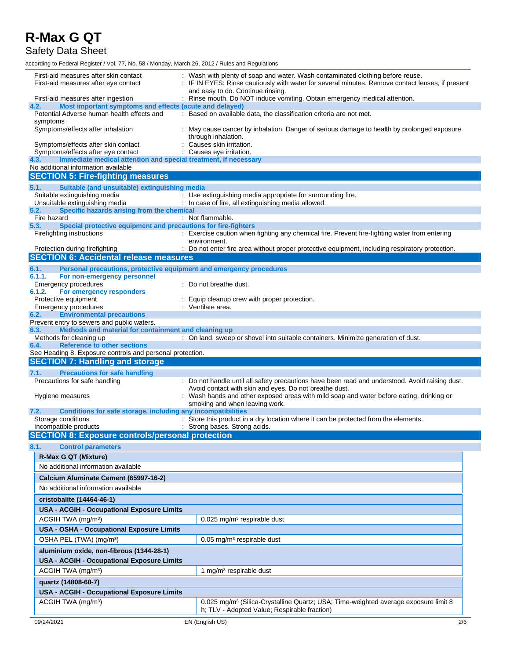Safety Data Sheet

| First-aid measures after skin contact<br>First-aid measures after eye contact                                 | Wash with plenty of soap and water. Wash contaminated clothing before reuse.<br>: IF IN EYES: Rinse cautiously with water for several minutes. Remove contact lenses, if present<br>and easy to do. Continue rinsing. |
|---------------------------------------------------------------------------------------------------------------|-----------------------------------------------------------------------------------------------------------------------------------------------------------------------------------------------------------------------|
| First-aid measures after ingestion                                                                            | : Rinse mouth. Do NOT induce vomiting. Obtain emergency medical attention.                                                                                                                                            |
| Most important symptoms and effects (acute and delayed)<br>4.2.                                               |                                                                                                                                                                                                                       |
| Potential Adverse human health effects and<br>symptoms                                                        | : Based on available data, the classification criteria are not met.                                                                                                                                                   |
| Symptoms/effects after inhalation                                                                             | May cause cancer by inhalation. Danger of serious damage to health by prolonged exposure<br>through inhalation.                                                                                                       |
| Symptoms/effects after skin contact                                                                           | Causes skin irritation.                                                                                                                                                                                               |
| Symptoms/effects after eye contact<br>Immediate medical attention and special treatment, if necessary<br>4.3. | Causes eye irritation.                                                                                                                                                                                                |
| No additional information available                                                                           |                                                                                                                                                                                                                       |
| <b>SECTION 5: Fire-fighting measures</b>                                                                      |                                                                                                                                                                                                                       |
| Suitable (and unsuitable) extinguishing media<br>5.1.                                                         |                                                                                                                                                                                                                       |
| Suitable extinguishing media                                                                                  | : Use extinguishing media appropriate for surrounding fire.                                                                                                                                                           |
| Unsuitable extinguishing media                                                                                | : In case of fire, all extinguishing media allowed.                                                                                                                                                                   |
| Specific hazards arising from the chemical<br>5.2.                                                            |                                                                                                                                                                                                                       |
| Fire hazard<br>5.3.                                                                                           | : Not flammable.                                                                                                                                                                                                      |
| Special protective equipment and precautions for fire-fighters<br>Firefighting instructions                   | : Exercise caution when fighting any chemical fire. Prevent fire-fighting water from entering<br>environment.                                                                                                         |
| Protection during firefighting                                                                                | : Do not enter fire area without proper protective equipment, including respiratory protection.                                                                                                                       |
| <b>SECTION 6: Accidental release measures</b>                                                                 |                                                                                                                                                                                                                       |
| Personal precautions, protective equipment and emergency procedures<br>6.1.                                   |                                                                                                                                                                                                                       |
| 6.1.1.<br>For non-emergency personnel                                                                         |                                                                                                                                                                                                                       |
| <b>Emergency procedures</b>                                                                                   | Do not breathe dust.                                                                                                                                                                                                  |
| 6.1.2.<br>For emergency responders<br>Protective equipment                                                    | Equip cleanup crew with proper protection.                                                                                                                                                                            |
| <b>Emergency procedures</b>                                                                                   | : Ventilate area.                                                                                                                                                                                                     |
| 6.2.<br><b>Environmental precautions</b>                                                                      |                                                                                                                                                                                                                       |
| Prevent entry to sewers and public waters.                                                                    |                                                                                                                                                                                                                       |
| Methods and material for containment and cleaning up<br>6.3.<br>Methods for cleaning up                       | : On land, sweep or shovel into suitable containers. Minimize generation of dust.                                                                                                                                     |
| <b>Reference to other sections</b><br>6.4.                                                                    |                                                                                                                                                                                                                       |
|                                                                                                               |                                                                                                                                                                                                                       |
| See Heading 8. Exposure controls and personal protection.                                                     |                                                                                                                                                                                                                       |
| <b>SECTION 7: Handling and storage</b>                                                                        |                                                                                                                                                                                                                       |
| <b>Precautions for safe handling</b><br>7.1.                                                                  |                                                                                                                                                                                                                       |
| Precautions for safe handling                                                                                 | : Do not handle until all safety precautions have been read and understood. Avoid raising dust.                                                                                                                       |
|                                                                                                               | Avoid contact with skin and eyes. Do not breathe dust.                                                                                                                                                                |
| Hygiene measures                                                                                              | : Wash hands and other exposed areas with mild soap and water before eating, drinking or                                                                                                                              |
| 7.2.                                                                                                          | smoking and when leaving work.                                                                                                                                                                                        |
| Conditions for safe storage, including any incompatibilities<br>Storage conditions                            | : Store this product in a dry location where it can be protected from the elements.                                                                                                                                   |
| Incompatible products                                                                                         | : Strong bases. Strong acids.                                                                                                                                                                                         |
| <b>SECTION 8: Exposure controls/personal protection</b>                                                       |                                                                                                                                                                                                                       |
| 8.1.<br><b>Control parameters</b>                                                                             |                                                                                                                                                                                                                       |
| R-Max G QT (Mixture)                                                                                          |                                                                                                                                                                                                                       |
| No additional information available                                                                           |                                                                                                                                                                                                                       |
|                                                                                                               |                                                                                                                                                                                                                       |
| Calcium Aluminate Cement (65997-16-2)                                                                         |                                                                                                                                                                                                                       |
| No additional information available                                                                           |                                                                                                                                                                                                                       |
| cristobalite (14464-46-1)                                                                                     |                                                                                                                                                                                                                       |
| <b>USA - ACGIH - Occupational Exposure Limits</b>                                                             |                                                                                                                                                                                                                       |
| ACGIH TWA (mg/m <sup>3</sup> )                                                                                | 0.025 mg/m <sup>3</sup> respirable dust                                                                                                                                                                               |
| USA - OSHA - Occupational Exposure Limits                                                                     |                                                                                                                                                                                                                       |
| OSHA PEL (TWA) (mg/m <sup>3</sup> )                                                                           | $0.05$ mg/m <sup>3</sup> respirable dust                                                                                                                                                                              |
| aluminium oxide, non-fibrous (1344-28-1)                                                                      |                                                                                                                                                                                                                       |
| <b>USA - ACGIH - Occupational Exposure Limits</b>                                                             |                                                                                                                                                                                                                       |
| ACGIH TWA (mg/m <sup>3</sup> )                                                                                | 1 mg/m <sup>3</sup> respirable dust                                                                                                                                                                                   |
| quartz (14808-60-7)                                                                                           |                                                                                                                                                                                                                       |
|                                                                                                               |                                                                                                                                                                                                                       |
| <b>USA - ACGIH - Occupational Exposure Limits</b>                                                             |                                                                                                                                                                                                                       |
| ACGIH TWA (mg/m <sup>3</sup> )                                                                                | 0.025 mg/m <sup>3</sup> (Silica-Crystalline Quartz; USA; Time-weighted average exposure limit 8<br>h; TLV - Adopted Value; Respirable fraction)                                                                       |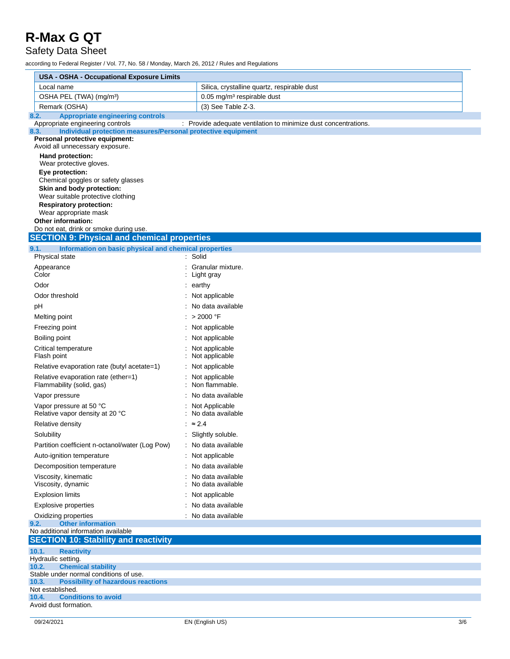#### Safety Data Sheet

|                                     | <b>USA - OSHA - Occupational Exposure Limits</b>                                                 |                                                                 |  |  |  |
|-------------------------------------|--------------------------------------------------------------------------------------------------|-----------------------------------------------------------------|--|--|--|
|                                     | Local name                                                                                       | Silica, crystalline quartz, respirable dust                     |  |  |  |
| OSHA PEL (TWA) (mg/m <sup>3</sup> ) |                                                                                                  | 0.05 mg/m <sup>3</sup> respirable dust                          |  |  |  |
|                                     | Remark (OSHA)                                                                                    | (3) See Table Z-3.                                              |  |  |  |
| 8.2.                                | <b>Appropriate engineering controls</b>                                                          |                                                                 |  |  |  |
| 8.3.                                | Appropriate engineering controls<br>Individual protection measures/Personal protective equipment | : Provide adequate ventilation to minimize dust concentrations. |  |  |  |
|                                     | Personal protective equipment:<br>Avoid all unnecessary exposure.                                |                                                                 |  |  |  |
|                                     | Hand protection:                                                                                 |                                                                 |  |  |  |
|                                     | Wear protective gloves.                                                                          |                                                                 |  |  |  |
|                                     | Eye protection:                                                                                  |                                                                 |  |  |  |
|                                     | Chemical goggles or safety glasses<br>Skin and body protection:                                  |                                                                 |  |  |  |
|                                     | Wear suitable protective clothing                                                                |                                                                 |  |  |  |
|                                     | <b>Respiratory protection:</b>                                                                   |                                                                 |  |  |  |
|                                     | Wear appropriate mask<br>Other information:                                                      |                                                                 |  |  |  |
|                                     | Do not eat, drink or smoke during use.                                                           |                                                                 |  |  |  |
|                                     | <b>SECTION 9: Physical and chemical properties</b>                                               |                                                                 |  |  |  |
| 9.1.                                | Information on basic physical and chemical properties                                            |                                                                 |  |  |  |
|                                     | Physical state                                                                                   | : Solid                                                         |  |  |  |
|                                     | Appearance                                                                                       | : Granular mixture.                                             |  |  |  |
|                                     | Color                                                                                            | Light gray                                                      |  |  |  |
|                                     | Odor                                                                                             | $:$ earthy                                                      |  |  |  |
|                                     | Odor threshold                                                                                   | Not applicable                                                  |  |  |  |
| рH                                  |                                                                                                  | : No data available                                             |  |  |  |
|                                     | Melting point                                                                                    | : > 2000 °F                                                     |  |  |  |
|                                     | Freezing point                                                                                   | Not applicable                                                  |  |  |  |
|                                     | Boiling point<br>Critical temperature                                                            | Not applicable<br>Not applicable                                |  |  |  |
|                                     | Flash point                                                                                      | Not applicable                                                  |  |  |  |
|                                     | Relative evaporation rate (butyl acetate=1)                                                      | Not applicable                                                  |  |  |  |
|                                     | Relative evaporation rate (ether=1)<br>Flammability (solid, gas)                                 | Not applicable<br>Non flammable.                                |  |  |  |
|                                     | Vapor pressure                                                                                   | No data available                                               |  |  |  |
|                                     | Vapor pressure at 50 °C<br>Relative vapor density at 20 °C                                       | Not Applicable<br>No data available                             |  |  |  |
|                                     | Relative density                                                                                 | $\approx 2.4$                                                   |  |  |  |
|                                     | Solubility                                                                                       | : Slightly soluble.                                             |  |  |  |
|                                     | Partition coefficient n-octanol/water (Log Pow)                                                  | No data available                                               |  |  |  |
|                                     | Auto-ignition temperature                                                                        | Not applicable                                                  |  |  |  |
|                                     | Decomposition temperature                                                                        | No data available                                               |  |  |  |
|                                     | Viscosity, kinematic<br>Viscosity, dynamic                                                       | No data available<br>No data available                          |  |  |  |
|                                     | <b>Explosion limits</b>                                                                          | Not applicable                                                  |  |  |  |
|                                     | Explosive properties                                                                             | No data available                                               |  |  |  |
|                                     | Oxidizing properties                                                                             | : No data available                                             |  |  |  |
| 9.2.                                | <b>Other information</b>                                                                         |                                                                 |  |  |  |
|                                     | No additional information available<br><b>SECTION 10: Stability and reactivity</b>               |                                                                 |  |  |  |
| 10.1.                               | <b>Reactivity</b>                                                                                |                                                                 |  |  |  |
| 10.2.                               | Hydraulic setting.<br><b>Chemical stability</b>                                                  |                                                                 |  |  |  |
|                                     | Stable under normal conditions of use.                                                           |                                                                 |  |  |  |
| 10.3.                               | <b>Possibility of hazardous reactions</b>                                                        |                                                                 |  |  |  |
| 10.4.                               | Not established.<br><b>Conditions to avoid</b>                                                   |                                                                 |  |  |  |
|                                     | Avoid dust formation.                                                                            |                                                                 |  |  |  |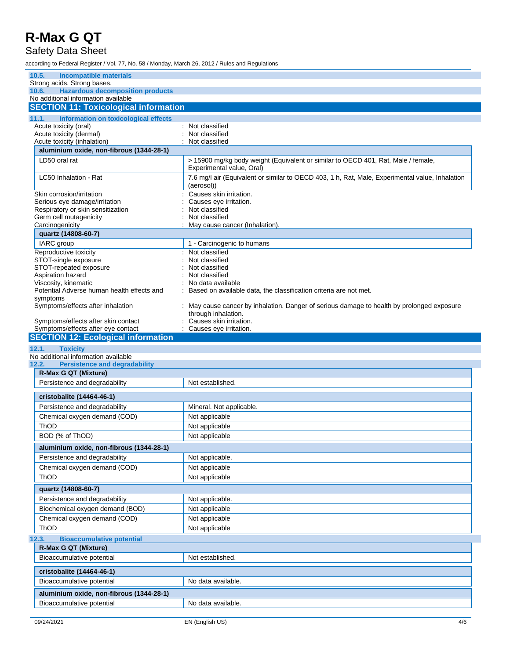#### Safety Data Sheet

| 10.5.<br><b>Incompatible materials</b>                                                  |                                                                                                                 |
|-----------------------------------------------------------------------------------------|-----------------------------------------------------------------------------------------------------------------|
| Strong acids. Strong bases.                                                             |                                                                                                                 |
| <b>Hazardous decomposition products</b><br>10.6.<br>No additional information available |                                                                                                                 |
| <b>SECTION 11: Toxicological information</b>                                            |                                                                                                                 |
| Information on toxicological effects<br>11.1.                                           |                                                                                                                 |
| Acute toxicity (oral)                                                                   | Not classified                                                                                                  |
| Acute toxicity (dermal)                                                                 | Not classified                                                                                                  |
| Acute toxicity (inhalation)                                                             | Not classified                                                                                                  |
| aluminium oxide, non-fibrous (1344-28-1)                                                |                                                                                                                 |
| LD50 oral rat                                                                           | > 15900 mg/kg body weight (Equivalent or similar to OECD 401, Rat, Male / female,<br>Experimental value, Oral)  |
| LC50 Inhalation - Rat                                                                   | 7.6 mg/l air (Equivalent or similar to OECD 403, 1 h, Rat, Male, Experimental value, Inhalation<br>(aerosol))   |
| Skin corrosion/irritation                                                               | Causes skin irritation.                                                                                         |
| Serious eye damage/irritation                                                           | Causes eye irritation.                                                                                          |
| Respiratory or skin sensitization<br>Germ cell mutagenicity                             | Not classified<br>Not classified                                                                                |
| Carcinogenicity                                                                         | May cause cancer (Inhalation).                                                                                  |
| quartz (14808-60-7)                                                                     |                                                                                                                 |
| IARC group                                                                              | 1 - Carcinogenic to humans                                                                                      |
| Reproductive toxicity                                                                   | : Not classified                                                                                                |
| STOT-single exposure                                                                    | Not classified                                                                                                  |
| STOT-repeated exposure                                                                  | Not classified                                                                                                  |
| Aspiration hazard<br>Viscosity, kinematic                                               | Not classified<br>No data available                                                                             |
| Potential Adverse human health effects and                                              | Based on available data, the classification criteria are not met.                                               |
| symptoms                                                                                |                                                                                                                 |
| Symptoms/effects after inhalation                                                       | May cause cancer by inhalation. Danger of serious damage to health by prolonged exposure<br>through inhalation. |
| Symptoms/effects after skin contact                                                     | Causes skin irritation.                                                                                         |
| Symptoms/effects after eye contact<br><b>SECTION 12: Ecological information</b>         | : Causes eye irritation.                                                                                        |
|                                                                                         |                                                                                                                 |
|                                                                                         |                                                                                                                 |
| 12.1.<br><b>Toxicity</b>                                                                |                                                                                                                 |
| No additional information available                                                     |                                                                                                                 |
| <b>Persistence and degradability</b><br>R-Max G QT (Mixture)                            |                                                                                                                 |
| Persistence and degradability                                                           | Not established.                                                                                                |
|                                                                                         |                                                                                                                 |
| cristobalite (14464-46-1)                                                               |                                                                                                                 |
| Persistence and degradability                                                           | Mineral. Not applicable.                                                                                        |
| Chemical oxygen demand (COD)                                                            | Not applicable                                                                                                  |
| <b>ThOD</b>                                                                             | Not applicable                                                                                                  |
| BOD (% of ThOD)                                                                         | Not applicable                                                                                                  |
| aluminium oxide, non-fibrous (1344-28-1)                                                |                                                                                                                 |
| Persistence and degradability                                                           | Not applicable.                                                                                                 |
| Chemical oxygen demand (COD)                                                            | Not applicable                                                                                                  |
| ThOD                                                                                    | Not applicable                                                                                                  |
| quartz (14808-60-7)                                                                     |                                                                                                                 |
| Persistence and degradability                                                           | Not applicable.                                                                                                 |
| Biochemical oxygen demand (BOD)                                                         | Not applicable                                                                                                  |
| Chemical oxygen demand (COD)                                                            | Not applicable                                                                                                  |
| ThOD                                                                                    | Not applicable                                                                                                  |
|                                                                                         |                                                                                                                 |
| <b>Bioaccumulative potential</b><br>R-Max G QT (Mixture)                                |                                                                                                                 |
| Bioaccumulative potential                                                               | Not established.                                                                                                |
|                                                                                         |                                                                                                                 |
| cristobalite (14464-46-1)                                                               |                                                                                                                 |
| 12.2.<br>12.3.<br>Bioaccumulative potential                                             | No data available.                                                                                              |
| aluminium oxide, non-fibrous (1344-28-1)<br>Bioaccumulative potential                   | No data available.                                                                                              |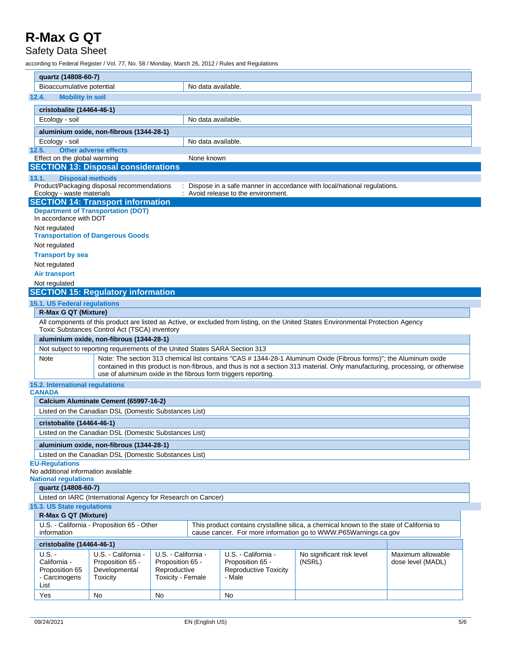#### Safety Data Sheet

|                                                              | quartz (14808-60-7)                                                                                                                                                                                                                                                                                                          |                                                                      |                                                                              |                    |                                                                                   |                                                                                                                                                             |                                        |
|--------------------------------------------------------------|------------------------------------------------------------------------------------------------------------------------------------------------------------------------------------------------------------------------------------------------------------------------------------------------------------------------------|----------------------------------------------------------------------|------------------------------------------------------------------------------|--------------------|-----------------------------------------------------------------------------------|-------------------------------------------------------------------------------------------------------------------------------------------------------------|----------------------------------------|
|                                                              |                                                                                                                                                                                                                                                                                                                              |                                                                      |                                                                              |                    |                                                                                   |                                                                                                                                                             |                                        |
|                                                              | Bioaccumulative potential                                                                                                                                                                                                                                                                                                    |                                                                      |                                                                              | No data available. |                                                                                   |                                                                                                                                                             |                                        |
|                                                              | <b>Mobility in soil</b><br>12.4.                                                                                                                                                                                                                                                                                             |                                                                      |                                                                              |                    |                                                                                   |                                                                                                                                                             |                                        |
|                                                              | cristobalite (14464-46-1)                                                                                                                                                                                                                                                                                                    |                                                                      |                                                                              |                    |                                                                                   |                                                                                                                                                             |                                        |
|                                                              | Ecology - soil                                                                                                                                                                                                                                                                                                               |                                                                      |                                                                              | No data available. |                                                                                   |                                                                                                                                                             |                                        |
|                                                              |                                                                                                                                                                                                                                                                                                                              | aluminium oxide, non-fibrous (1344-28-1)                             |                                                                              |                    |                                                                                   |                                                                                                                                                             |                                        |
|                                                              | Ecology - soil                                                                                                                                                                                                                                                                                                               |                                                                      |                                                                              | No data available. |                                                                                   |                                                                                                                                                             |                                        |
| 12.5.                                                        |                                                                                                                                                                                                                                                                                                                              | <b>Other adverse effects</b>                                         |                                                                              |                    |                                                                                   |                                                                                                                                                             |                                        |
|                                                              | Effect on the global warming                                                                                                                                                                                                                                                                                                 |                                                                      |                                                                              | None known         |                                                                                   |                                                                                                                                                             |                                        |
|                                                              |                                                                                                                                                                                                                                                                                                                              | <b>SECTION 13: Disposal considerations</b>                           |                                                                              |                    |                                                                                   |                                                                                                                                                             |                                        |
| 13.1.                                                        | <b>Disposal methods</b>                                                                                                                                                                                                                                                                                                      |                                                                      |                                                                              |                    |                                                                                   |                                                                                                                                                             |                                        |
|                                                              | Ecology - waste materials                                                                                                                                                                                                                                                                                                    | Product/Packaging disposal recommendations                           |                                                                              |                    | : Avoid release to the environment.                                               | : Dispose in a safe manner in accordance with local/national regulations.                                                                                   |                                        |
|                                                              |                                                                                                                                                                                                                                                                                                                              | <b>SECTION 14: Transport information</b>                             |                                                                              |                    |                                                                                   |                                                                                                                                                             |                                        |
|                                                              |                                                                                                                                                                                                                                                                                                                              | <b>Department of Transportation (DOT)</b>                            |                                                                              |                    |                                                                                   |                                                                                                                                                             |                                        |
|                                                              | In accordance with DOT                                                                                                                                                                                                                                                                                                       |                                                                      |                                                                              |                    |                                                                                   |                                                                                                                                                             |                                        |
|                                                              | Not regulated                                                                                                                                                                                                                                                                                                                |                                                                      |                                                                              |                    |                                                                                   |                                                                                                                                                             |                                        |
|                                                              |                                                                                                                                                                                                                                                                                                                              | <b>Transportation of Dangerous Goods</b>                             |                                                                              |                    |                                                                                   |                                                                                                                                                             |                                        |
|                                                              | Not regulated                                                                                                                                                                                                                                                                                                                |                                                                      |                                                                              |                    |                                                                                   |                                                                                                                                                             |                                        |
|                                                              | <b>Transport by sea</b>                                                                                                                                                                                                                                                                                                      |                                                                      |                                                                              |                    |                                                                                   |                                                                                                                                                             |                                        |
|                                                              | Not regulated                                                                                                                                                                                                                                                                                                                |                                                                      |                                                                              |                    |                                                                                   |                                                                                                                                                             |                                        |
|                                                              | <b>Air transport</b>                                                                                                                                                                                                                                                                                                         |                                                                      |                                                                              |                    |                                                                                   |                                                                                                                                                             |                                        |
|                                                              | Not regulated                                                                                                                                                                                                                                                                                                                |                                                                      |                                                                              |                    |                                                                                   |                                                                                                                                                             |                                        |
|                                                              |                                                                                                                                                                                                                                                                                                                              | <b>SECTION 15: Regulatory information</b>                            |                                                                              |                    |                                                                                   |                                                                                                                                                             |                                        |
|                                                              | 15.1. US Federal regulations                                                                                                                                                                                                                                                                                                 |                                                                      |                                                                              |                    |                                                                                   |                                                                                                                                                             |                                        |
|                                                              | <b>R-Max G QT (Mixture)</b>                                                                                                                                                                                                                                                                                                  |                                                                      |                                                                              |                    |                                                                                   |                                                                                                                                                             |                                        |
|                                                              | All components of this product are listed as Active, or excluded from listing, on the United States Environmental Protection Agency<br>Toxic Substances Control Act (TSCA) inventory                                                                                                                                         |                                                                      |                                                                              |                    |                                                                                   |                                                                                                                                                             |                                        |
|                                                              | aluminium oxide, non-fibrous (1344-28-1)                                                                                                                                                                                                                                                                                     |                                                                      |                                                                              |                    |                                                                                   |                                                                                                                                                             |                                        |
|                                                              | Not subject to reporting requirements of the United States SARA Section 313                                                                                                                                                                                                                                                  |                                                                      |                                                                              |                    |                                                                                   |                                                                                                                                                             |                                        |
|                                                              | Note: The section 313 chemical list contains "CAS # 1344-28-1 Aluminum Oxide (Fibrous forms)"; the Aluminum oxide<br>Note<br>contained in this product is non-fibrous, and thus is not a section 313 material. Only manufacturing, processing, or otherwise<br>use of aluminum oxide in the fibrous form triggers reporting. |                                                                      |                                                                              |                    |                                                                                   |                                                                                                                                                             |                                        |
|                                                              | 15.2. International regulations<br><b>CANADA</b>                                                                                                                                                                                                                                                                             |                                                                      |                                                                              |                    |                                                                                   |                                                                                                                                                             |                                        |
|                                                              |                                                                                                                                                                                                                                                                                                                              | Calcium Aluminate Cement (65997-16-2)                                |                                                                              |                    |                                                                                   |                                                                                                                                                             |                                        |
|                                                              | Listed on the Canadian DSL (Domestic Substances List)                                                                                                                                                                                                                                                                        |                                                                      |                                                                              |                    |                                                                                   |                                                                                                                                                             |                                        |
|                                                              | cristobalite (14464-46-1)                                                                                                                                                                                                                                                                                                    |                                                                      |                                                                              |                    |                                                                                   |                                                                                                                                                             |                                        |
|                                                              | Listed on the Canadian DSL (Domestic Substances List)                                                                                                                                                                                                                                                                        |                                                                      |                                                                              |                    |                                                                                   |                                                                                                                                                             |                                        |
|                                                              |                                                                                                                                                                                                                                                                                                                              |                                                                      |                                                                              |                    |                                                                                   |                                                                                                                                                             |                                        |
|                                                              | aluminium oxide, non-fibrous (1344-28-1)                                                                                                                                                                                                                                                                                     |                                                                      |                                                                              |                    |                                                                                   |                                                                                                                                                             |                                        |
|                                                              | Listed on the Canadian DSL (Domestic Substances List)<br><b>EU-Regulations</b>                                                                                                                                                                                                                                               |                                                                      |                                                                              |                    |                                                                                   |                                                                                                                                                             |                                        |
|                                                              | No additional information available                                                                                                                                                                                                                                                                                          |                                                                      |                                                                              |                    |                                                                                   |                                                                                                                                                             |                                        |
|                                                              | <b>National regulations</b>                                                                                                                                                                                                                                                                                                  |                                                                      |                                                                              |                    |                                                                                   |                                                                                                                                                             |                                        |
|                                                              | quartz (14808-60-7)                                                                                                                                                                                                                                                                                                          |                                                                      |                                                                              |                    |                                                                                   |                                                                                                                                                             |                                        |
| Listed on IARC (International Agency for Research on Cancer) |                                                                                                                                                                                                                                                                                                                              |                                                                      |                                                                              |                    |                                                                                   |                                                                                                                                                             |                                        |
|                                                              | 15.3. US State regulations                                                                                                                                                                                                                                                                                                   |                                                                      |                                                                              |                    |                                                                                   |                                                                                                                                                             |                                        |
|                                                              | R-Max G QT (Mixture)                                                                                                                                                                                                                                                                                                         |                                                                      |                                                                              |                    |                                                                                   |                                                                                                                                                             |                                        |
|                                                              | information                                                                                                                                                                                                                                                                                                                  | U.S. - California - Proposition 65 - Other                           |                                                                              |                    |                                                                                   | This product contains crystalline silica, a chemical known to the state of California to<br>cause cancer. For more information go to WWW.P65Warnings.ca.gov |                                        |
|                                                              | cristobalite (14464-46-1)                                                                                                                                                                                                                                                                                                    |                                                                      |                                                                              |                    |                                                                                   |                                                                                                                                                             |                                        |
|                                                              | $U.S. -$<br>California -<br>Proposition 65<br>- Carcinogens<br>List                                                                                                                                                                                                                                                          | U.S. - California -<br>Proposition 65 -<br>Developmental<br>Toxicity | U.S. - California -<br>Proposition 65 -<br>Reproductive<br>Toxicity - Female |                    | U.S. - California -<br>Proposition 65 -<br><b>Reproductive Toxicity</b><br>- Male | No significant risk level<br>(NSRL)                                                                                                                         | Maximum allowable<br>dose level (MADL) |
|                                                              | Yes                                                                                                                                                                                                                                                                                                                          | No                                                                   | No                                                                           |                    | No                                                                                |                                                                                                                                                             |                                        |